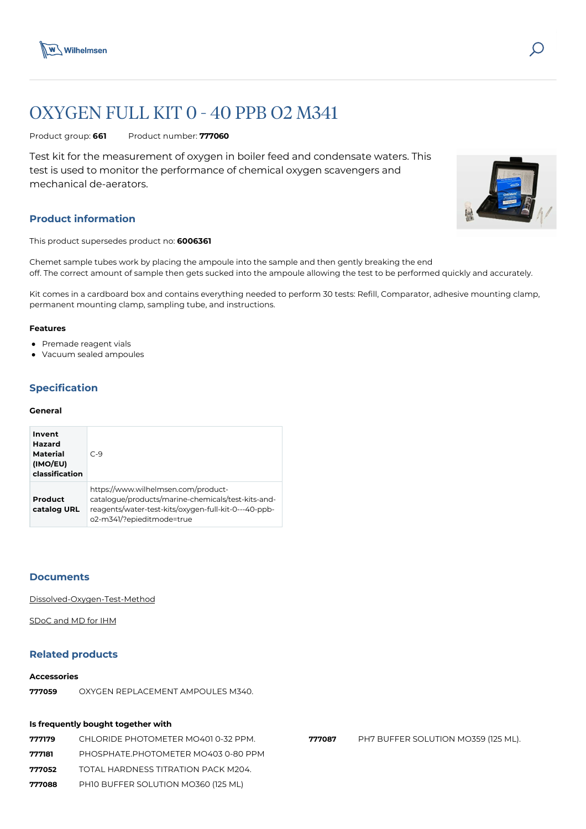

# OXYGEN FULL KIT 0 - 40 PPB O2 M341

Product group: **661** Product number: **777060**

Test kit for the measurement of oxygen in boiler feed and condensate waters. This test is used to monitor the performance of chemical oxygen scavengers and mechanical de-aerators.

# **Product information**

This product supersedes product no: **6006361**

Chemet sample tubes work by placing the ampoule into the sample and then gently breaking the end off. The correct amount of sample then gets sucked into the ampoule allowing the test to be performed quickly and accurately.

Kit comes in a cardboard box and contains everything needed to perform 30 tests: Refill, Comparator, adhesive mounting clamp, permanent mounting clamp, sampling tube, and instructions.

## **Features**

- Premade reagent vials
- Vacuum sealed ampoules

# **Specification**

## **General**

| Invent<br><b>Hazard</b><br>Material<br>(IMO/EU)<br>classification | $C-9$                                                                                                                                                                          |
|-------------------------------------------------------------------|--------------------------------------------------------------------------------------------------------------------------------------------------------------------------------|
| Product<br>catalog URL                                            | https://www.wilhelmsen.com/product-<br>catalogue/products/marine-chemicals/test-kits-and-<br>reagents/water-test-kits/oxygen-full-kit-0---40-ppb-<br>o2-m341/?epieditmode=true |

## **Documents**

[Dissolved-Oxygen-Test-Method](https://media.bluestonepim.com/e4deb258-8122-4fdf-9d12-b42f3e0e812d/22243aea-57c4-44b2-80c0-6edc0b0a4431/uns6MNAA7G84DkAI4yP5W18QA/HUCF1xhPk6dFI2FTDmMpFJM5K.pdf)

[SDoC and MD for IHM](https://media.bluestonepim.com/e4deb258-8122-4fdf-9d12-b42f3e0e812d/efeecc48-b8a1-4c2d-90ba-9a270da6a438/zYhqggirAECysmp6za5cN4KS0/utPxvRPigLMbxsmynluEgV3Ir.pdf)

# **Related products**

#### **Accessories**

**777059** [OXYGEN REPLACEMENT AMPOULES M340.](https://www.wilhelmsen.com/product-catalogue/products/marine-chemicals/test-kits-and-reagents/nalfleet-test-kit--spares-and-consumables/oxygen-replacement-ampoules-m340/?epieditmode=true)

## **Is frequently bought together with**

 [CHLORIDE PHOTOMETER MO401 0-32 PPM.](https://www.wilhelmsen.com/product-catalogue/products/marine-chemicals/test-kits-and-reagents/nalfleet-test-kit--spares-and-consumables/chloride-photometer-mo401-0-32-ppm/?epieditmode=true) [PHOSPHATE.PHOTOMETER MO403 0-80 PPM](https://www.wilhelmsen.com/product-catalogue/products/marine-chemicals/test-kits-and-reagents/nalfleet-test-kit--spares-and-consumables/phosphate.photometer-mo403-0-80-ppm/?epieditmode=true) [TOTAL HARDNESS TITRATION PACK M204.](https://www.wilhelmsen.com/product-catalogue/products/marine-chemicals/test-kits-and-reagents/water-test-kits/total-hardness-titration-pack-m204/?epieditmode=true) [PH10 BUFFER SOLUTION MO360 \(125 ML\)](https://www.wilhelmsen.com/product-catalogue/products/marine-chemicals/test-kits-and-reagents/nalfleet-test-kit--spares-and-consumables/ph10-buffer-solution-mo360-125-ml/?epieditmode=true)

**777087** [PH7 BUFFER SOLUTION MO359 \(125 ML\).](https://www.wilhelmsen.com/product-catalogue/products/marine-chemicals/test-kits-and-reagents/nalfleet-test-kit--spares-and-consumables/ph7-buffer-solution-mo359-125-ml/?epieditmode=true)